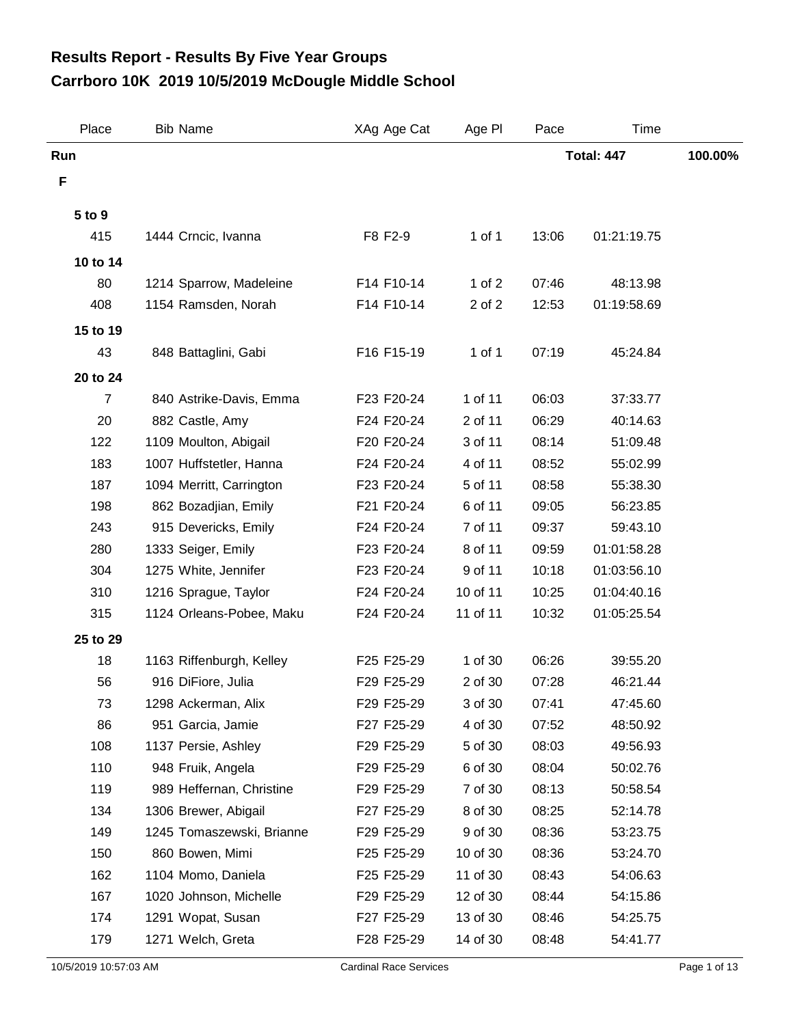## **Carrboro 10K 2019 10/5/2019 McDougle Middle School Results Report - Results By Five Year Groups**

| Place    | <b>Bib Name</b>                            | XAg Age Cat              | Age PI             | Pace              | Time                 |         |
|----------|--------------------------------------------|--------------------------|--------------------|-------------------|----------------------|---------|
| Run      |                                            |                          |                    | <b>Total: 447</b> |                      | 100.00% |
| F        |                                            |                          |                    |                   |                      |         |
| 5 to 9   |                                            |                          |                    |                   |                      |         |
| 415      | 1444 Crncic, Ivanna                        | F8 F2-9                  | $1$ of $1$         | 13:06             | 01:21:19.75          |         |
| 10 to 14 |                                            |                          |                    |                   |                      |         |
| 80       | 1214 Sparrow, Madeleine                    | F14 F10-14               | 1 of $2$           | 07:46             | 48:13.98             |         |
| 408      | 1154 Ramsden, Norah                        | F14 F10-14               | 2 of 2             | 12:53             | 01:19:58.69          |         |
| 15 to 19 |                                            |                          |                    |                   |                      |         |
| 43       | 848 Battaglini, Gabi                       | F16 F15-19               | 1 of 1             | 07:19             | 45:24.84             |         |
|          |                                            |                          |                    |                   |                      |         |
| 20 to 24 |                                            |                          |                    |                   |                      |         |
| 7<br>20  | 840 Astrike-Davis, Emma<br>882 Castle, Amy | F23 F20-24<br>F24 F20-24 | 1 of 11<br>2 of 11 | 06:03<br>06:29    | 37:33.77             |         |
| 122      | 1109 Moulton, Abigail                      | F20 F20-24               | 3 of 11            | 08:14             | 40:14.63<br>51:09.48 |         |
| 183      | 1007 Huffstetler, Hanna                    | F24 F20-24               | 4 of 11            | 08:52             | 55:02.99             |         |
| 187      | 1094 Merritt, Carrington                   | F23 F20-24               | 5 of 11            | 08:58             | 55:38.30             |         |
| 198      | 862 Bozadjian, Emily                       | F21 F20-24               | 6 of 11            | 09:05             | 56:23.85             |         |
| 243      | 915 Devericks, Emily                       | F24 F20-24               | 7 of 11            | 09:37             | 59:43.10             |         |
| 280      | 1333 Seiger, Emily                         | F23 F20-24               | 8 of 11            | 09:59             | 01:01:58.28          |         |
| 304      | 1275 White, Jennifer                       | F23 F20-24               | 9 of 11            | 10:18             | 01:03:56.10          |         |
| 310      | 1216 Sprague, Taylor                       | F24 F20-24               | 10 of 11           | 10:25             | 01:04:40.16          |         |
| 315      | 1124 Orleans-Pobee, Maku                   | F24 F20-24               | 11 of 11           | 10:32             | 01:05:25.54          |         |
| 25 to 29 |                                            |                          |                    |                   |                      |         |
| 18       | 1163 Riffenburgh, Kelley                   | F25 F25-29               | 1 of 30            | 06:26             | 39:55.20             |         |
| 56       | 916 DiFiore, Julia                         | F29 F25-29               | 2 of 30            | 07:28             | 46:21.44             |         |
| 73       | 1298 Ackerman, Alix                        | F29 F25-29               | 3 of 30            | 07:41             | 47:45.60             |         |
| 86       | 951 Garcia, Jamie                          | F27 F25-29               | 4 of 30            | 07:52             | 48:50.92             |         |
| 108      | 1137 Persie, Ashley                        | F29 F25-29               | 5 of 30            | 08:03             | 49:56.93             |         |
| 110      | 948 Fruik, Angela                          | F29 F25-29               | 6 of 30            | 08:04             | 50:02.76             |         |
| 119      | 989 Heffernan, Christine                   | F29 F25-29               | 7 of 30            | 08:13             | 50:58.54             |         |
| 134      | 1306 Brewer, Abigail                       | F27 F25-29               | 8 of 30            | 08:25             | 52:14.78             |         |
| 149      | 1245 Tomaszewski, Brianne                  | F29 F25-29               | 9 of 30            | 08:36             | 53:23.75             |         |
| 150      | 860 Bowen, Mimi                            | F25 F25-29               | 10 of 30           | 08:36             | 53:24.70             |         |
| 162      | 1104 Momo, Daniela                         | F25 F25-29               | 11 of 30           | 08:43             | 54:06.63             |         |
| 167      | 1020 Johnson, Michelle                     | F29 F25-29               | 12 of 30           | 08:44             | 54:15.86             |         |
| 174      | 1291 Wopat, Susan                          | F27 F25-29               | 13 of 30           | 08:46             | 54:25.75             |         |
| 179      | 1271 Welch, Greta                          | F28 F25-29               | 14 of 30           | 08:48             | 54:41.77             |         |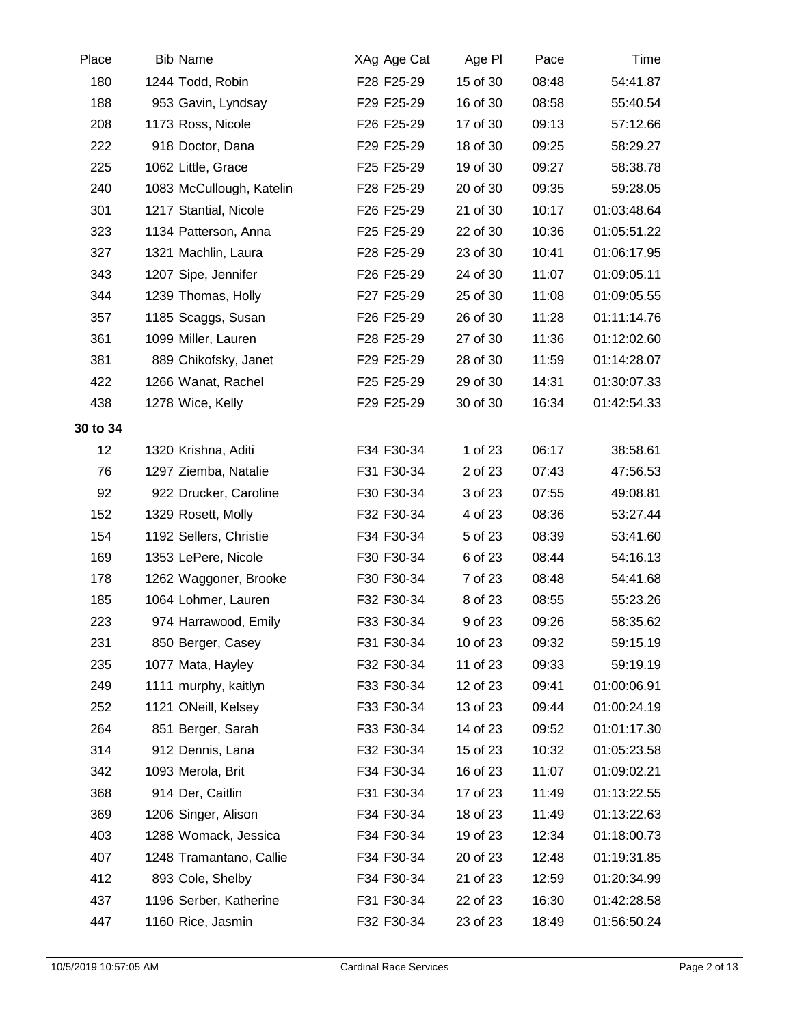| Place    | <b>Bib Name</b>          | XAg Age Cat | Age PI   | Pace  | Time        |  |
|----------|--------------------------|-------------|----------|-------|-------------|--|
| 180      | 1244 Todd, Robin         | F28 F25-29  | 15 of 30 | 08:48 | 54:41.87    |  |
| 188      | 953 Gavin, Lyndsay       | F29 F25-29  | 16 of 30 | 08:58 | 55:40.54    |  |
| 208      | 1173 Ross, Nicole        | F26 F25-29  | 17 of 30 | 09:13 | 57:12.66    |  |
| 222      | 918 Doctor, Dana         | F29 F25-29  | 18 of 30 | 09:25 | 58:29.27    |  |
| 225      | 1062 Little, Grace       | F25 F25-29  | 19 of 30 | 09:27 | 58:38.78    |  |
| 240      | 1083 McCullough, Katelin | F28 F25-29  | 20 of 30 | 09:35 | 59:28.05    |  |
| 301      | 1217 Stantial, Nicole    | F26 F25-29  | 21 of 30 | 10:17 | 01:03:48.64 |  |
| 323      | 1134 Patterson, Anna     | F25 F25-29  | 22 of 30 | 10:36 | 01:05:51.22 |  |
| 327      | 1321 Machlin, Laura      | F28 F25-29  | 23 of 30 | 10:41 | 01:06:17.95 |  |
| 343      | 1207 Sipe, Jennifer      | F26 F25-29  | 24 of 30 | 11:07 | 01:09:05.11 |  |
| 344      | 1239 Thomas, Holly       | F27 F25-29  | 25 of 30 | 11:08 | 01:09:05.55 |  |
| 357      | 1185 Scaggs, Susan       | F26 F25-29  | 26 of 30 | 11:28 | 01:11:14.76 |  |
| 361      | 1099 Miller, Lauren      | F28 F25-29  | 27 of 30 | 11:36 | 01:12:02.60 |  |
| 381      | 889 Chikofsky, Janet     | F29 F25-29  | 28 of 30 | 11:59 | 01:14:28.07 |  |
| 422      | 1266 Wanat, Rachel       | F25 F25-29  | 29 of 30 | 14:31 | 01:30:07.33 |  |
| 438      | 1278 Wice, Kelly         | F29 F25-29  | 30 of 30 | 16:34 | 01:42:54.33 |  |
| 30 to 34 |                          |             |          |       |             |  |
| 12       | 1320 Krishna, Aditi      | F34 F30-34  | 1 of 23  | 06:17 | 38:58.61    |  |
| 76       | 1297 Ziemba, Natalie     | F31 F30-34  | 2 of 23  | 07:43 | 47:56.53    |  |
| 92       | 922 Drucker, Caroline    | F30 F30-34  | 3 of 23  | 07:55 | 49:08.81    |  |
| 152      | 1329 Rosett, Molly       | F32 F30-34  | 4 of 23  | 08:36 | 53:27.44    |  |
| 154      | 1192 Sellers, Christie   | F34 F30-34  | 5 of 23  | 08:39 | 53:41.60    |  |
| 169      | 1353 LePere, Nicole      | F30 F30-34  | 6 of 23  | 08:44 | 54:16.13    |  |
| 178      | 1262 Waggoner, Brooke    | F30 F30-34  | 7 of 23  | 08:48 | 54:41.68    |  |
| 185      | 1064 Lohmer, Lauren      | F32 F30-34  | 8 of 23  | 08:55 | 55:23.26    |  |
| 223      | 974 Harrawood, Emily     | F33 F30-34  | 9 of 23  | 09:26 | 58:35.62    |  |
| 231      | 850 Berger, Casey        | F31 F30-34  | 10 of 23 | 09:32 | 59:15.19    |  |
| 235      | 1077 Mata, Hayley        | F32 F30-34  | 11 of 23 | 09:33 | 59:19.19    |  |
| 249      | 1111 murphy, kaitlyn     | F33 F30-34  | 12 of 23 | 09:41 | 01:00:06.91 |  |
| 252      | 1121 ONeill, Kelsey      | F33 F30-34  | 13 of 23 | 09:44 | 01:00:24.19 |  |
| 264      | 851 Berger, Sarah        | F33 F30-34  | 14 of 23 | 09:52 | 01:01:17.30 |  |
| 314      | 912 Dennis, Lana         | F32 F30-34  | 15 of 23 | 10:32 | 01:05:23.58 |  |
| 342      | 1093 Merola, Brit        | F34 F30-34  | 16 of 23 | 11:07 | 01:09:02.21 |  |
| 368      | 914 Der, Caitlin         | F31 F30-34  | 17 of 23 | 11:49 | 01:13:22.55 |  |
| 369      | 1206 Singer, Alison      | F34 F30-34  | 18 of 23 | 11:49 | 01:13:22.63 |  |
| 403      | 1288 Womack, Jessica     | F34 F30-34  | 19 of 23 | 12:34 | 01:18:00.73 |  |
| 407      | 1248 Tramantano, Callie  | F34 F30-34  | 20 of 23 | 12:48 | 01:19:31.85 |  |
| 412      | 893 Cole, Shelby         | F34 F30-34  | 21 of 23 | 12:59 | 01:20:34.99 |  |
| 437      | 1196 Serber, Katherine   | F31 F30-34  | 22 of 23 | 16:30 | 01:42:28.58 |  |
| 447      | 1160 Rice, Jasmin        | F32 F30-34  | 23 of 23 | 18:49 | 01:56:50.24 |  |
|          |                          |             |          |       |             |  |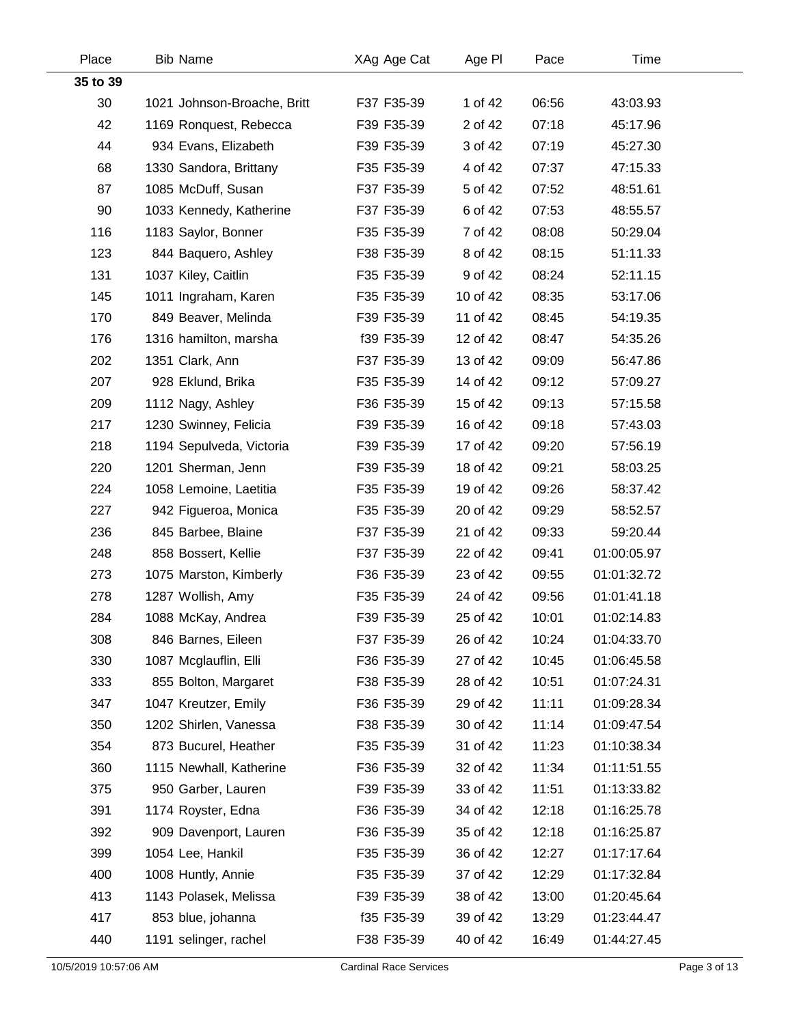| Place    | <b>Bib Name</b>             | XAg Age Cat | Age PI   | Pace  | Time        |  |
|----------|-----------------------------|-------------|----------|-------|-------------|--|
| 35 to 39 |                             |             |          |       |             |  |
| 30       | 1021 Johnson-Broache, Britt | F37 F35-39  | 1 of 42  | 06:56 | 43:03.93    |  |
| 42       | 1169 Ronquest, Rebecca      | F39 F35-39  | 2 of 42  | 07:18 | 45:17.96    |  |
| 44       | 934 Evans, Elizabeth        | F39 F35-39  | 3 of 42  | 07:19 | 45:27.30    |  |
| 68       | 1330 Sandora, Brittany      | F35 F35-39  | 4 of 42  | 07:37 | 47:15.33    |  |
| 87       | 1085 McDuff, Susan          | F37 F35-39  | 5 of 42  | 07:52 | 48:51.61    |  |
| 90       | 1033 Kennedy, Katherine     | F37 F35-39  | 6 of 42  | 07:53 | 48:55.57    |  |
| 116      | 1183 Saylor, Bonner         | F35 F35-39  | 7 of 42  | 08:08 | 50:29.04    |  |
| 123      | 844 Baquero, Ashley         | F38 F35-39  | 8 of 42  | 08:15 | 51:11.33    |  |
| 131      | 1037 Kiley, Caitlin         | F35 F35-39  | 9 of 42  | 08:24 | 52:11.15    |  |
| 145      | 1011 Ingraham, Karen        | F35 F35-39  | 10 of 42 | 08:35 | 53:17.06    |  |
| 170      | 849 Beaver, Melinda         | F39 F35-39  | 11 of 42 | 08:45 | 54:19.35    |  |
| 176      | 1316 hamilton, marsha       | f39 F35-39  | 12 of 42 | 08:47 | 54:35.26    |  |
| 202      | 1351 Clark, Ann             | F37 F35-39  | 13 of 42 | 09:09 | 56:47.86    |  |
| 207      | 928 Eklund, Brika           | F35 F35-39  | 14 of 42 | 09:12 | 57:09.27    |  |
| 209      | 1112 Nagy, Ashley           | F36 F35-39  | 15 of 42 | 09:13 | 57:15.58    |  |
| 217      | 1230 Swinney, Felicia       | F39 F35-39  | 16 of 42 | 09:18 | 57:43.03    |  |
| 218      | 1194 Sepulveda, Victoria    | F39 F35-39  | 17 of 42 | 09:20 | 57:56.19    |  |
| 220      | 1201 Sherman, Jenn          | F39 F35-39  | 18 of 42 | 09:21 | 58:03.25    |  |
| 224      | 1058 Lemoine, Laetitia      | F35 F35-39  | 19 of 42 | 09:26 | 58:37.42    |  |
| 227      | 942 Figueroa, Monica        | F35 F35-39  | 20 of 42 | 09:29 | 58:52.57    |  |
| 236      | 845 Barbee, Blaine          | F37 F35-39  | 21 of 42 | 09:33 | 59:20.44    |  |
| 248      | 858 Bossert, Kellie         | F37 F35-39  | 22 of 42 | 09:41 | 01:00:05.97 |  |
| 273      | 1075 Marston, Kimberly      | F36 F35-39  | 23 of 42 | 09:55 | 01:01:32.72 |  |
| 278      | 1287 Wollish, Amy           | F35 F35-39  | 24 of 42 | 09:56 | 01:01:41.18 |  |
| 284      | 1088 McKay, Andrea          | F39 F35-39  | 25 of 42 | 10:01 | 01:02:14.83 |  |
| 308      | 846 Barnes, Eileen          | F37 F35-39  | 26 of 42 | 10:24 | 01:04:33.70 |  |
| 330      | 1087 Mcglauflin, Elli       | F36 F35-39  | 27 of 42 | 10:45 | 01:06:45.58 |  |
| 333      | 855 Bolton, Margaret        | F38 F35-39  | 28 of 42 | 10:51 | 01:07:24.31 |  |
| 347      | 1047 Kreutzer, Emily        | F36 F35-39  | 29 of 42 | 11:11 | 01:09:28.34 |  |
| 350      | 1202 Shirlen, Vanessa       | F38 F35-39  | 30 of 42 | 11:14 | 01:09:47.54 |  |
| 354      | 873 Bucurel, Heather        | F35 F35-39  | 31 of 42 | 11:23 | 01:10:38.34 |  |
| 360      | 1115 Newhall, Katherine     | F36 F35-39  | 32 of 42 | 11:34 | 01:11:51.55 |  |
| 375      | 950 Garber, Lauren          | F39 F35-39  | 33 of 42 | 11:51 | 01:13:33.82 |  |
| 391      | 1174 Royster, Edna          | F36 F35-39  | 34 of 42 | 12:18 | 01:16:25.78 |  |
| 392      | 909 Davenport, Lauren       | F36 F35-39  | 35 of 42 | 12:18 | 01:16:25.87 |  |
| 399      | 1054 Lee, Hankil            | F35 F35-39  | 36 of 42 | 12:27 | 01:17:17.64 |  |
| 400      | 1008 Huntly, Annie          | F35 F35-39  | 37 of 42 | 12:29 | 01:17:32.84 |  |
| 413      | 1143 Polasek, Melissa       | F39 F35-39  | 38 of 42 | 13:00 | 01:20:45.64 |  |
| 417      | 853 blue, johanna           | f35 F35-39  | 39 of 42 | 13:29 | 01:23:44.47 |  |
| 440      | 1191 selinger, rachel       | F38 F35-39  | 40 of 42 | 16:49 | 01:44:27.45 |  |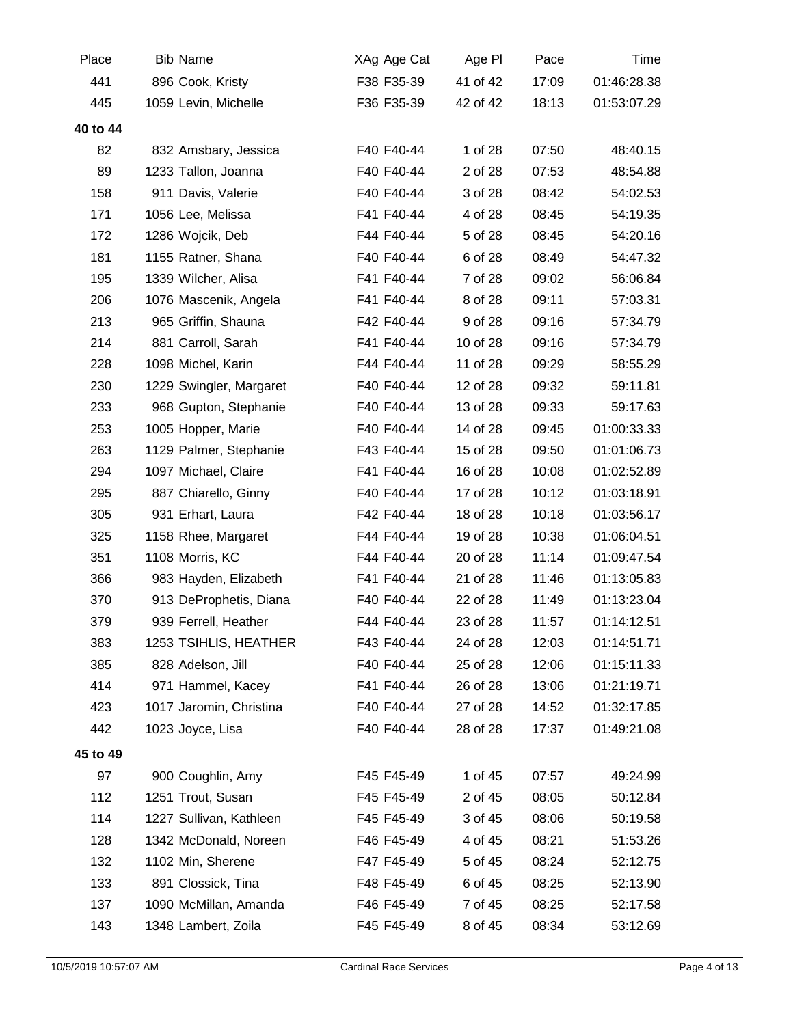| Place    | <b>Bib Name</b>         | XAg Age Cat | Age PI   | Pace  | Time        |  |
|----------|-------------------------|-------------|----------|-------|-------------|--|
| 441      | 896 Cook, Kristy        | F38 F35-39  | 41 of 42 | 17:09 | 01:46:28.38 |  |
| 445      | 1059 Levin, Michelle    | F36 F35-39  | 42 of 42 | 18:13 | 01:53:07.29 |  |
| 40 to 44 |                         |             |          |       |             |  |
| 82       | 832 Amsbary, Jessica    | F40 F40-44  | 1 of 28  | 07:50 | 48:40.15    |  |
| 89       | 1233 Tallon, Joanna     | F40 F40-44  | 2 of 28  | 07:53 | 48:54.88    |  |
| 158      | 911 Davis, Valerie      | F40 F40-44  | 3 of 28  | 08:42 | 54:02.53    |  |
| 171      | 1056 Lee, Melissa       | F41 F40-44  | 4 of 28  | 08:45 | 54:19.35    |  |
| 172      | 1286 Wojcik, Deb        | F44 F40-44  | 5 of 28  | 08:45 | 54:20.16    |  |
| 181      | 1155 Ratner, Shana      | F40 F40-44  | 6 of 28  | 08:49 | 54:47.32    |  |
| 195      | 1339 Wilcher, Alisa     | F41 F40-44  | 7 of 28  | 09:02 | 56:06.84    |  |
| 206      | 1076 Mascenik, Angela   | F41 F40-44  | 8 of 28  | 09:11 | 57:03.31    |  |
| 213      | 965 Griffin, Shauna     | F42 F40-44  | 9 of 28  | 09:16 | 57:34.79    |  |
| 214      | 881 Carroll, Sarah      | F41 F40-44  | 10 of 28 | 09:16 | 57:34.79    |  |
| 228      | 1098 Michel, Karin      | F44 F40-44  | 11 of 28 | 09:29 | 58:55.29    |  |
| 230      | 1229 Swingler, Margaret | F40 F40-44  | 12 of 28 | 09:32 | 59:11.81    |  |
| 233      | 968 Gupton, Stephanie   | F40 F40-44  | 13 of 28 | 09:33 | 59:17.63    |  |
| 253      | 1005 Hopper, Marie      | F40 F40-44  | 14 of 28 | 09:45 | 01:00:33.33 |  |
| 263      | 1129 Palmer, Stephanie  | F43 F40-44  | 15 of 28 | 09:50 | 01:01:06.73 |  |
| 294      | 1097 Michael, Claire    | F41 F40-44  | 16 of 28 | 10:08 | 01:02:52.89 |  |
| 295      | 887 Chiarello, Ginny    | F40 F40-44  | 17 of 28 | 10:12 | 01:03:18.91 |  |
| 305      | 931 Erhart, Laura       | F42 F40-44  | 18 of 28 | 10:18 | 01:03:56.17 |  |
| 325      | 1158 Rhee, Margaret     | F44 F40-44  | 19 of 28 | 10:38 | 01:06:04.51 |  |
| 351      | 1108 Morris, KC         | F44 F40-44  | 20 of 28 | 11:14 | 01:09:47.54 |  |
| 366      | 983 Hayden, Elizabeth   | F41 F40-44  | 21 of 28 | 11:46 | 01:13:05.83 |  |
| 370      | 913 DeProphetis, Diana  | F40 F40-44  | 22 of 28 | 11:49 | 01:13:23.04 |  |
| 379      | 939 Ferrell, Heather    | F44 F40-44  | 23 of 28 | 11:57 | 01:14:12.51 |  |
| 383      | 1253 TSIHLIS, HEATHER   | F43 F40-44  | 24 of 28 | 12:03 | 01:14:51.71 |  |
| 385      | 828 Adelson, Jill       | F40 F40-44  | 25 of 28 | 12:06 | 01:15:11.33 |  |
| 414      | 971 Hammel, Kacey       | F41 F40-44  | 26 of 28 | 13:06 | 01:21:19.71 |  |
| 423      | 1017 Jaromin, Christina | F40 F40-44  | 27 of 28 | 14:52 | 01:32:17.85 |  |
| 442      | 1023 Joyce, Lisa        | F40 F40-44  | 28 of 28 | 17:37 | 01:49:21.08 |  |
| 45 to 49 |                         |             |          |       |             |  |
| 97       | 900 Coughlin, Amy       | F45 F45-49  | 1 of 45  | 07:57 | 49:24.99    |  |
| 112      | 1251 Trout, Susan       | F45 F45-49  | 2 of 45  | 08:05 | 50:12.84    |  |
| 114      | 1227 Sullivan, Kathleen | F45 F45-49  | 3 of 45  | 08:06 | 50:19.58    |  |
| 128      | 1342 McDonald, Noreen   | F46 F45-49  | 4 of 45  | 08:21 | 51:53.26    |  |
| 132      | 1102 Min, Sherene       | F47 F45-49  | 5 of 45  | 08:24 | 52:12.75    |  |
| 133      | 891 Clossick, Tina      | F48 F45-49  | 6 of 45  | 08:25 | 52:13.90    |  |
| 137      | 1090 McMillan, Amanda   | F46 F45-49  | 7 of 45  | 08:25 | 52:17.58    |  |
| 143      | 1348 Lambert, Zoila     | F45 F45-49  | 8 of 45  | 08:34 | 53:12.69    |  |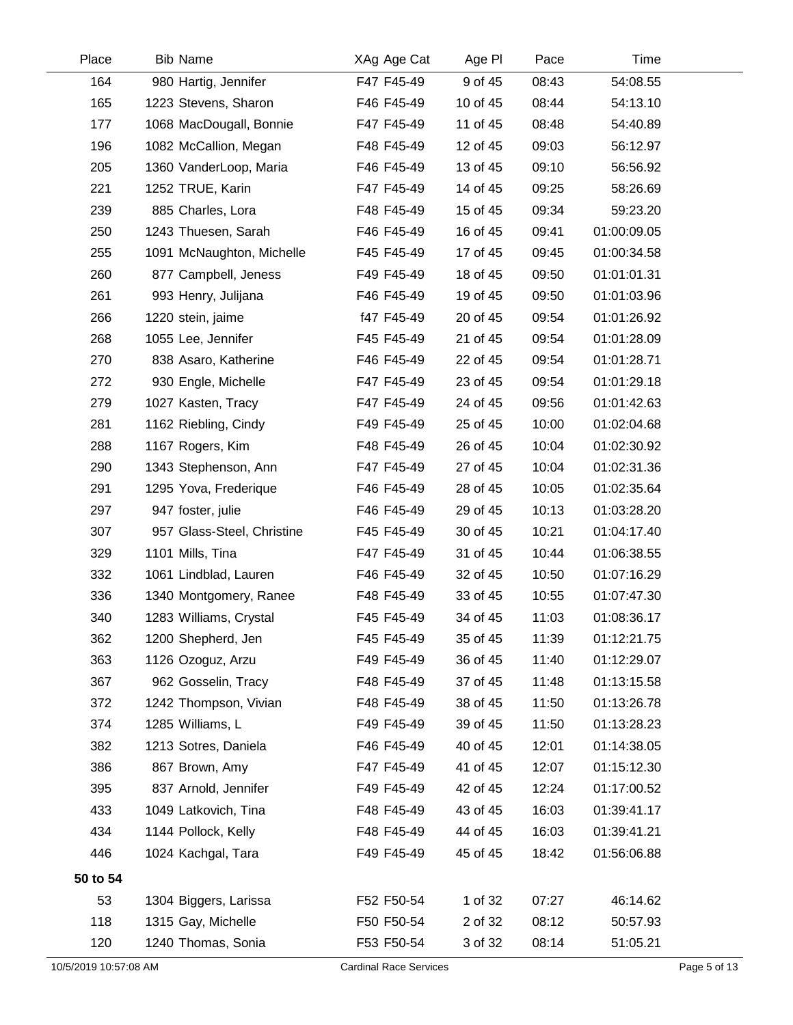| Place                 | <b>Bib Name</b>            | XAg Age Cat                   | Age PI   | Pace  | Time        |              |
|-----------------------|----------------------------|-------------------------------|----------|-------|-------------|--------------|
| 164                   | 980 Hartig, Jennifer       | F47 F45-49                    | 9 of 45  | 08:43 | 54:08.55    |              |
| 165                   | 1223 Stevens, Sharon       | F46 F45-49                    | 10 of 45 | 08:44 | 54:13.10    |              |
| 177                   | 1068 MacDougall, Bonnie    | F47 F45-49                    | 11 of 45 | 08:48 | 54:40.89    |              |
| 196                   | 1082 McCallion, Megan      | F48 F45-49                    | 12 of 45 | 09:03 | 56:12.97    |              |
| 205                   | 1360 VanderLoop, Maria     | F46 F45-49                    | 13 of 45 | 09:10 | 56:56.92    |              |
| 221                   | 1252 TRUE, Karin           | F47 F45-49                    | 14 of 45 | 09:25 | 58:26.69    |              |
| 239                   | 885 Charles, Lora          | F48 F45-49                    | 15 of 45 | 09:34 | 59:23.20    |              |
| 250                   | 1243 Thuesen, Sarah        | F46 F45-49                    | 16 of 45 | 09:41 | 01:00:09.05 |              |
| 255                   | 1091 McNaughton, Michelle  | F45 F45-49                    | 17 of 45 | 09:45 | 01:00:34.58 |              |
| 260                   | 877 Campbell, Jeness       | F49 F45-49                    | 18 of 45 | 09:50 | 01:01:01.31 |              |
| 261                   | 993 Henry, Julijana        | F46 F45-49                    | 19 of 45 | 09:50 | 01:01:03.96 |              |
| 266                   | 1220 stein, jaime          | f47 F45-49                    | 20 of 45 | 09:54 | 01:01:26.92 |              |
| 268                   | 1055 Lee, Jennifer         | F45 F45-49                    | 21 of 45 | 09:54 | 01:01:28.09 |              |
| 270                   | 838 Asaro, Katherine       | F46 F45-49                    | 22 of 45 | 09:54 | 01:01:28.71 |              |
| 272                   | 930 Engle, Michelle        | F47 F45-49                    | 23 of 45 | 09:54 | 01:01:29.18 |              |
| 279                   | 1027 Kasten, Tracy         | F47 F45-49                    | 24 of 45 | 09:56 | 01:01:42.63 |              |
| 281                   | 1162 Riebling, Cindy       | F49 F45-49                    | 25 of 45 | 10:00 | 01:02:04.68 |              |
| 288                   | 1167 Rogers, Kim           | F48 F45-49                    | 26 of 45 | 10:04 | 01:02:30.92 |              |
| 290                   | 1343 Stephenson, Ann       | F47 F45-49                    | 27 of 45 | 10:04 | 01:02:31.36 |              |
| 291                   | 1295 Yova, Frederique      | F46 F45-49                    | 28 of 45 | 10:05 | 01:02:35.64 |              |
| 297                   | 947 foster, julie          | F46 F45-49                    | 29 of 45 | 10:13 | 01:03:28.20 |              |
| 307                   | 957 Glass-Steel, Christine | F45 F45-49                    | 30 of 45 | 10:21 | 01:04:17.40 |              |
| 329                   | 1101 Mills, Tina           | F47 F45-49                    | 31 of 45 | 10:44 | 01:06:38.55 |              |
| 332                   | 1061 Lindblad, Lauren      | F46 F45-49                    | 32 of 45 | 10:50 | 01:07:16.29 |              |
| 336                   | 1340 Montgomery, Ranee     | F48 F45-49                    | 33 of 45 | 10:55 | 01:07:47.30 |              |
| 340                   | 1283 Williams, Crystal     | F45 F45-49                    | 34 of 45 | 11:03 | 01:08:36.17 |              |
| 362                   | 1200 Shepherd, Jen         | F45 F45-49                    | 35 of 45 | 11:39 | 01:12:21.75 |              |
| 363                   | 1126 Ozoguz, Arzu          | F49 F45-49                    | 36 of 45 | 11:40 | 01:12:29.07 |              |
| 367                   | 962 Gosselin, Tracy        | F48 F45-49                    | 37 of 45 | 11:48 | 01:13:15.58 |              |
| 372                   | 1242 Thompson, Vivian      | F48 F45-49                    | 38 of 45 | 11:50 | 01:13:26.78 |              |
| 374                   | 1285 Williams, L           | F49 F45-49                    | 39 of 45 | 11:50 | 01:13:28.23 |              |
| 382                   | 1213 Sotres, Daniela       | F46 F45-49                    | 40 of 45 | 12:01 | 01:14:38.05 |              |
| 386                   | 867 Brown, Amy             | F47 F45-49                    | 41 of 45 | 12:07 | 01:15:12.30 |              |
| 395                   | 837 Arnold, Jennifer       | F49 F45-49                    | 42 of 45 | 12:24 | 01:17:00.52 |              |
| 433                   | 1049 Latkovich, Tina       | F48 F45-49                    | 43 of 45 | 16:03 | 01:39:41.17 |              |
| 434                   | 1144 Pollock, Kelly        | F48 F45-49                    | 44 of 45 | 16:03 | 01:39:41.21 |              |
| 446                   | 1024 Kachgal, Tara         | F49 F45-49                    | 45 of 45 | 18:42 | 01:56:06.88 |              |
| 50 to 54              |                            |                               |          |       |             |              |
| 53                    | 1304 Biggers, Larissa      | F52 F50-54                    | 1 of 32  | 07:27 | 46:14.62    |              |
| 118                   | 1315 Gay, Michelle         | F50 F50-54                    | 2 of 32  | 08:12 | 50:57.93    |              |
| 120                   | 1240 Thomas, Sonia         | F53 F50-54                    | 3 of 32  | 08:14 | 51:05.21    |              |
| 10/5/2019 10:57:08 AM |                            | <b>Cardinal Race Services</b> |          |       |             | Page 5 of 13 |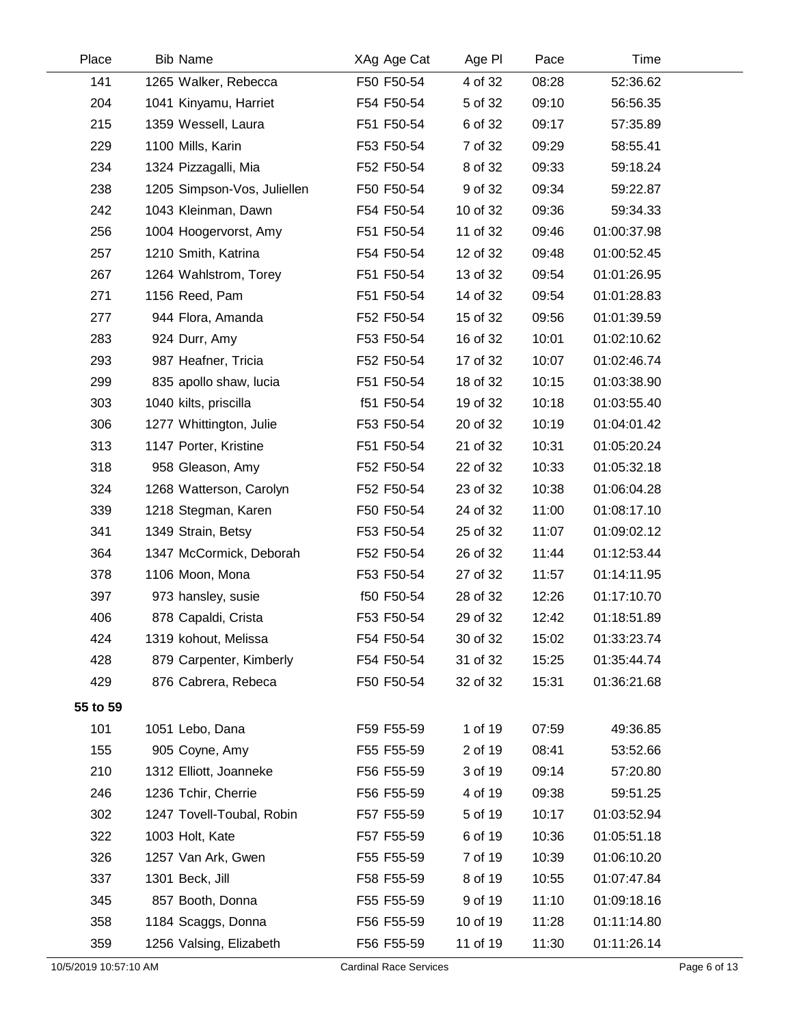| Place                 | <b>Bib Name</b>             | XAg Age Cat                   | Age PI   | Pace  | Time        |              |
|-----------------------|-----------------------------|-------------------------------|----------|-------|-------------|--------------|
| 141                   | 1265 Walker, Rebecca        | F50 F50-54                    | 4 of 32  | 08:28 | 52:36.62    |              |
| 204                   | 1041 Kinyamu, Harriet       | F54 F50-54                    | 5 of 32  | 09:10 | 56:56.35    |              |
| 215                   | 1359 Wessell, Laura         | F51 F50-54                    | 6 of 32  | 09:17 | 57:35.89    |              |
| 229                   | 1100 Mills, Karin           | F53 F50-54                    | 7 of 32  | 09:29 | 58:55.41    |              |
| 234                   | 1324 Pizzagalli, Mia        | F52 F50-54                    | 8 of 32  | 09:33 | 59:18.24    |              |
| 238                   | 1205 Simpson-Vos, Juliellen | F50 F50-54                    | 9 of 32  | 09:34 | 59:22.87    |              |
| 242                   | 1043 Kleinman, Dawn         | F54 F50-54                    | 10 of 32 | 09:36 | 59:34.33    |              |
| 256                   | 1004 Hoogervorst, Amy       | F51 F50-54                    | 11 of 32 | 09:46 | 01:00:37.98 |              |
| 257                   | 1210 Smith, Katrina         | F54 F50-54                    | 12 of 32 | 09:48 | 01:00:52.45 |              |
| 267                   | 1264 Wahlstrom, Torey       | F51 F50-54                    | 13 of 32 | 09:54 | 01:01:26.95 |              |
| 271                   | 1156 Reed, Pam              | F51 F50-54                    | 14 of 32 | 09:54 | 01:01:28.83 |              |
| 277                   | 944 Flora, Amanda           | F52 F50-54                    | 15 of 32 | 09:56 | 01:01:39.59 |              |
| 283                   | 924 Durr, Amy               | F53 F50-54                    | 16 of 32 | 10:01 | 01:02:10.62 |              |
| 293                   | 987 Heafner, Tricia         | F52 F50-54                    | 17 of 32 | 10:07 | 01:02:46.74 |              |
| 299                   | 835 apollo shaw, lucia      | F51 F50-54                    | 18 of 32 | 10:15 | 01:03:38.90 |              |
| 303                   | 1040 kilts, priscilla       | f51 F50-54                    | 19 of 32 | 10:18 | 01:03:55.40 |              |
| 306                   | 1277 Whittington, Julie     | F53 F50-54                    | 20 of 32 | 10:19 | 01:04:01.42 |              |
| 313                   | 1147 Porter, Kristine       | F51 F50-54                    | 21 of 32 | 10:31 | 01:05:20.24 |              |
| 318                   | 958 Gleason, Amy            | F52 F50-54                    | 22 of 32 | 10:33 | 01:05:32.18 |              |
| 324                   | 1268 Watterson, Carolyn     | F52 F50-54                    | 23 of 32 | 10:38 | 01:06:04.28 |              |
| 339                   | 1218 Stegman, Karen         | F50 F50-54                    | 24 of 32 | 11:00 | 01:08:17.10 |              |
| 341                   | 1349 Strain, Betsy          | F53 F50-54                    | 25 of 32 | 11:07 | 01:09:02.12 |              |
| 364                   | 1347 McCormick, Deborah     | F52 F50-54                    | 26 of 32 | 11:44 | 01:12:53.44 |              |
| 378                   | 1106 Moon, Mona             | F53 F50-54                    | 27 of 32 | 11:57 | 01:14:11.95 |              |
| 397                   | 973 hansley, susie          | f50 F50-54                    | 28 of 32 | 12:26 | 01:17:10.70 |              |
| 406                   | 878 Capaldi, Crista         | F53 F50-54                    | 29 of 32 | 12:42 | 01:18:51.89 |              |
| 424                   | 1319 kohout, Melissa        | F54 F50-54                    | 30 of 32 | 15:02 | 01:33:23.74 |              |
| 428                   | 879 Carpenter, Kimberly     | F54 F50-54                    | 31 of 32 | 15:25 | 01:35:44.74 |              |
| 429                   | 876 Cabrera, Rebeca         | F50 F50-54                    | 32 of 32 | 15:31 | 01:36:21.68 |              |
| 55 to 59              |                             |                               |          |       |             |              |
| 101                   | 1051 Lebo, Dana             | F59 F55-59                    | 1 of 19  | 07:59 | 49:36.85    |              |
| 155                   | 905 Coyne, Amy              | F55 F55-59                    | 2 of 19  | 08:41 | 53:52.66    |              |
| 210                   | 1312 Elliott, Joanneke      | F56 F55-59                    | 3 of 19  | 09:14 | 57:20.80    |              |
| 246                   | 1236 Tchir, Cherrie         | F56 F55-59                    | 4 of 19  | 09:38 | 59:51.25    |              |
| 302                   | 1247 Tovell-Toubal, Robin   | F57 F55-59                    | 5 of 19  | 10:17 | 01:03:52.94 |              |
| 322                   | 1003 Holt, Kate             | F57 F55-59                    | 6 of 19  | 10:36 | 01:05:51.18 |              |
| 326                   | 1257 Van Ark, Gwen          | F55 F55-59                    | 7 of 19  | 10:39 | 01:06:10.20 |              |
| 337                   | 1301 Beck, Jill             | F58 F55-59                    | 8 of 19  | 10:55 | 01:07:47.84 |              |
| 345                   | 857 Booth, Donna            | F55 F55-59                    | 9 of 19  | 11:10 | 01:09:18.16 |              |
| 358                   | 1184 Scaggs, Donna          | F56 F55-59                    | 10 of 19 | 11:28 | 01:11:14.80 |              |
| 359                   | 1256 Valsing, Elizabeth     | F56 F55-59                    | 11 of 19 | 11:30 | 01:11:26.14 |              |
| 10/5/2019 10:57:10 AM |                             | <b>Cardinal Race Services</b> |          |       |             | Page 6 of 13 |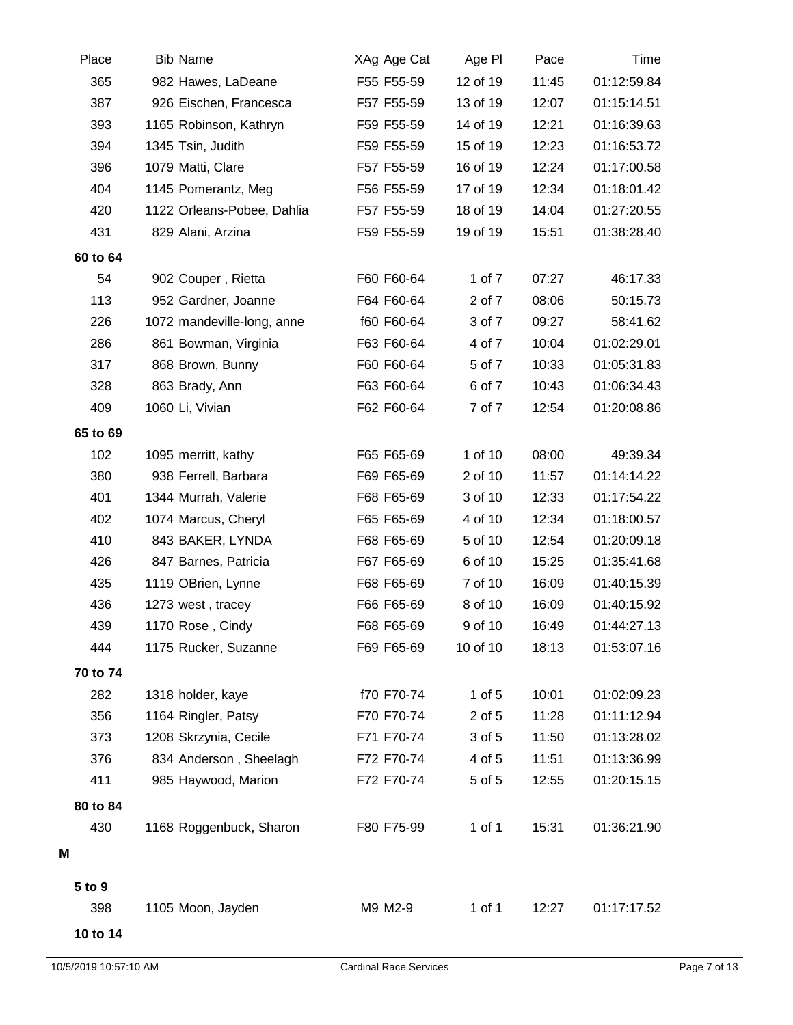| Place    | <b>Bib Name</b>            | XAg Age Cat | Age PI     | Pace  | Time        |  |
|----------|----------------------------|-------------|------------|-------|-------------|--|
| 365      | 982 Hawes, LaDeane         | F55 F55-59  | 12 of 19   | 11:45 | 01:12:59.84 |  |
| 387      | 926 Eischen, Francesca     | F57 F55-59  | 13 of 19   | 12:07 | 01:15:14.51 |  |
| 393      | 1165 Robinson, Kathryn     | F59 F55-59  | 14 of 19   | 12:21 | 01:16:39.63 |  |
| 394      | 1345 Tsin, Judith          | F59 F55-59  | 15 of 19   | 12:23 | 01:16:53.72 |  |
| 396      | 1079 Matti, Clare          | F57 F55-59  | 16 of 19   | 12:24 | 01:17:00.58 |  |
| 404      | 1145 Pomerantz, Meg        | F56 F55-59  | 17 of 19   | 12:34 | 01:18:01.42 |  |
| 420      | 1122 Orleans-Pobee, Dahlia | F57 F55-59  | 18 of 19   | 14:04 | 01:27:20.55 |  |
| 431      | 829 Alani, Arzina          | F59 F55-59  | 19 of 19   | 15:51 | 01:38:28.40 |  |
| 60 to 64 |                            |             |            |       |             |  |
| 54       | 902 Couper, Rietta         | F60 F60-64  | 1 of 7     | 07:27 | 46:17.33    |  |
| 113      | 952 Gardner, Joanne        | F64 F60-64  | 2 of 7     | 08:06 | 50:15.73    |  |
| 226      | 1072 mandeville-long, anne | f60 F60-64  | 3 of 7     | 09:27 | 58:41.62    |  |
| 286      | 861 Bowman, Virginia       | F63 F60-64  | 4 of 7     | 10:04 | 01:02:29.01 |  |
| 317      | 868 Brown, Bunny           | F60 F60-64  | 5 of 7     | 10:33 | 01:05:31.83 |  |
| 328      | 863 Brady, Ann             | F63 F60-64  | 6 of 7     | 10:43 | 01:06:34.43 |  |
| 409      | 1060 Li, Vivian            | F62 F60-64  | 7 of 7     | 12:54 | 01:20:08.86 |  |
| 65 to 69 |                            |             |            |       |             |  |
| 102      | 1095 merritt, kathy        | F65 F65-69  | 1 of 10    | 08:00 | 49:39.34    |  |
| 380      | 938 Ferrell, Barbara       | F69 F65-69  | 2 of 10    | 11:57 | 01:14:14.22 |  |
| 401      | 1344 Murrah, Valerie       | F68 F65-69  | 3 of 10    | 12:33 | 01:17:54.22 |  |
| 402      | 1074 Marcus, Cheryl        | F65 F65-69  | 4 of 10    | 12:34 | 01:18:00.57 |  |
| 410      | 843 BAKER, LYNDA           | F68 F65-69  | 5 of 10    | 12:54 | 01:20:09.18 |  |
| 426      | 847 Barnes, Patricia       | F67 F65-69  | 6 of 10    | 15:25 | 01:35:41.68 |  |
| 435      | 1119 OBrien, Lynne         | F68 F65-69  | 7 of 10    | 16:09 | 01:40:15.39 |  |
| 436      | 1273 west, tracey          | F66 F65-69  | 8 of 10    | 16:09 | 01:40:15.92 |  |
| 439      | 1170 Rose, Cindy           | F68 F65-69  | 9 of 10    | 16:49 | 01:44:27.13 |  |
| 444      | 1175 Rucker, Suzanne       | F69 F65-69  | 10 of 10   | 18:13 | 01:53:07.16 |  |
| 70 to 74 |                            |             |            |       |             |  |
| 282      | 1318 holder, kaye          | f70 F70-74  | $1$ of $5$ | 10:01 | 01:02:09.23 |  |
| 356      | 1164 Ringler, Patsy        | F70 F70-74  | 2 of 5     | 11:28 | 01:11:12.94 |  |
| 373      | 1208 Skrzynia, Cecile      | F71 F70-74  | 3 of 5     | 11:50 | 01:13:28.02 |  |
| 376      | 834 Anderson, Sheelagh     | F72 F70-74  | 4 of 5     | 11:51 | 01:13:36.99 |  |
| 411      | 985 Haywood, Marion        | F72 F70-74  | 5 of 5     | 12:55 | 01:20:15.15 |  |
| 80 to 84 |                            |             |            |       |             |  |
| 430      | 1168 Roggenbuck, Sharon    | F80 F75-99  | $1$ of $1$ | 15:31 | 01:36:21.90 |  |
| Μ        |                            |             |            |       |             |  |
|          |                            |             |            |       |             |  |
| 5 to 9   |                            |             |            | 12:27 |             |  |
| 398      | 1105 Moon, Jayden          | M9 M2-9     | 1 of 1     |       | 01:17:17.52 |  |
| 10 to 14 |                            |             |            |       |             |  |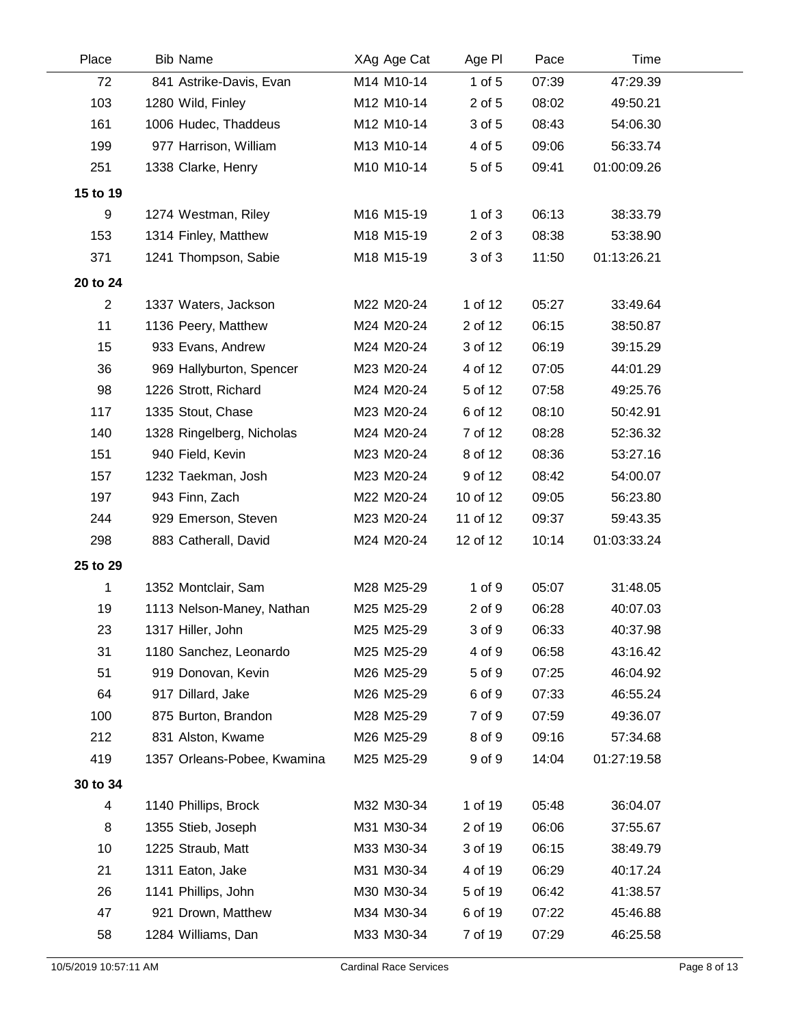| Place          | <b>Bib Name</b>             | XAg Age Cat | Age PI     | Pace  | Time        |  |
|----------------|-----------------------------|-------------|------------|-------|-------------|--|
| 72             | 841 Astrike-Davis, Evan     | M14 M10-14  | $1$ of $5$ | 07:39 | 47:29.39    |  |
| 103            | 1280 Wild, Finley           | M12 M10-14  | 2 of 5     | 08:02 | 49:50.21    |  |
| 161            | 1006 Hudec, Thaddeus        | M12 M10-14  | 3 of 5     | 08:43 | 54:06.30    |  |
| 199            | 977 Harrison, William       | M13 M10-14  | 4 of 5     | 09:06 | 56:33.74    |  |
| 251            | 1338 Clarke, Henry          | M10 M10-14  | 5 of 5     | 09:41 | 01:00:09.26 |  |
| 15 to 19       |                             |             |            |       |             |  |
| 9              | 1274 Westman, Riley         | M16 M15-19  | $1$ of $3$ | 06:13 | 38:33.79    |  |
| 153            | 1314 Finley, Matthew        | M18 M15-19  | $2$ of $3$ | 08:38 | 53:38.90    |  |
| 371            | 1241 Thompson, Sabie        | M18 M15-19  | 3 of 3     | 11:50 | 01:13:26.21 |  |
| 20 to 24       |                             |             |            |       |             |  |
| $\overline{c}$ | 1337 Waters, Jackson        | M22 M20-24  | 1 of 12    | 05:27 | 33:49.64    |  |
| 11             | 1136 Peery, Matthew         | M24 M20-24  | 2 of 12    | 06:15 | 38:50.87    |  |
| 15             | 933 Evans, Andrew           | M24 M20-24  | 3 of 12    | 06:19 | 39:15.29    |  |
| 36             | 969 Hallyburton, Spencer    | M23 M20-24  | 4 of 12    | 07:05 | 44:01.29    |  |
| 98             | 1226 Strott, Richard        | M24 M20-24  | 5 of 12    | 07:58 | 49:25.76    |  |
| 117            | 1335 Stout, Chase           | M23 M20-24  | 6 of 12    | 08:10 | 50:42.91    |  |
| 140            | 1328 Ringelberg, Nicholas   | M24 M20-24  | 7 of 12    | 08:28 | 52:36.32    |  |
| 151            | 940 Field, Kevin            | M23 M20-24  | 8 of 12    | 08:36 | 53:27.16    |  |
| 157            | 1232 Taekman, Josh          | M23 M20-24  | 9 of 12    | 08:42 | 54:00.07    |  |
| 197            | 943 Finn, Zach              | M22 M20-24  | 10 of 12   | 09:05 | 56:23.80    |  |
| 244            | 929 Emerson, Steven         | M23 M20-24  | 11 of 12   | 09:37 | 59:43.35    |  |
| 298            | 883 Catherall, David        | M24 M20-24  | 12 of 12   | 10:14 | 01:03:33.24 |  |
| 25 to 29       |                             |             |            |       |             |  |
| 1              | 1352 Montclair, Sam         | M28 M25-29  | 1 of 9     | 05:07 | 31:48.05    |  |
| 19             | 1113 Nelson-Maney, Nathan   | M25 M25-29  | 2 of 9     | 06:28 | 40:07.03    |  |
| 23             | 1317 Hiller, John           | M25 M25-29  | 3 of 9     | 06:33 | 40:37.98    |  |
| 31             | 1180 Sanchez, Leonardo      | M25 M25-29  | 4 of 9     | 06:58 | 43:16.42    |  |
| 51             | 919 Donovan, Kevin          | M26 M25-29  | 5 of 9     | 07:25 | 46:04.92    |  |
| 64             | 917 Dillard, Jake           | M26 M25-29  | 6 of 9     | 07:33 | 46:55.24    |  |
| 100            | 875 Burton, Brandon         | M28 M25-29  | 7 of 9     | 07:59 | 49:36.07    |  |
| 212            | 831 Alston, Kwame           | M26 M25-29  | 8 of 9     | 09:16 | 57:34.68    |  |
| 419            | 1357 Orleans-Pobee, Kwamina | M25 M25-29  | 9 of 9     | 14:04 | 01:27:19.58 |  |
| 30 to 34       |                             |             |            |       |             |  |
| 4              | 1140 Phillips, Brock        | M32 M30-34  | 1 of 19    | 05:48 | 36:04.07    |  |
| 8              | 1355 Stieb, Joseph          | M31 M30-34  | 2 of 19    | 06:06 | 37:55.67    |  |
| 10             | 1225 Straub, Matt           | M33 M30-34  | 3 of 19    | 06:15 | 38:49.79    |  |
| 21             | 1311 Eaton, Jake            | M31 M30-34  | 4 of 19    | 06:29 | 40:17.24    |  |
| 26             | 1141 Phillips, John         | M30 M30-34  | 5 of 19    | 06:42 | 41:38.57    |  |
| 47             | 921 Drown, Matthew          | M34 M30-34  | 6 of 19    | 07:22 | 45:46.88    |  |
| 58             | 1284 Williams, Dan          | M33 M30-34  | 7 of 19    | 07:29 | 46:25.58    |  |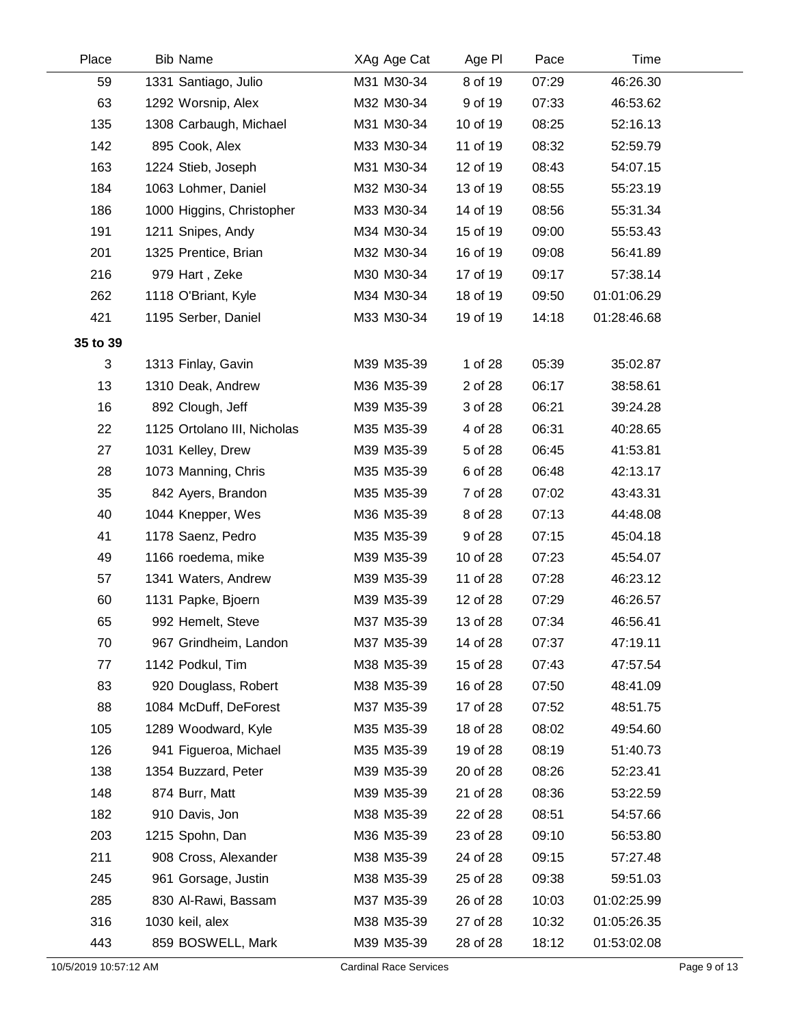| Place    | <b>Bib Name</b>             | XAg Age Cat | Age PI   | Pace  | Time        |  |
|----------|-----------------------------|-------------|----------|-------|-------------|--|
| 59       | 1331 Santiago, Julio        | M31 M30-34  | 8 of 19  | 07:29 | 46:26.30    |  |
| 63       | 1292 Worsnip, Alex          | M32 M30-34  | 9 of 19  | 07:33 | 46:53.62    |  |
| 135      | 1308 Carbaugh, Michael      | M31 M30-34  | 10 of 19 | 08:25 | 52:16.13    |  |
| 142      | 895 Cook, Alex              | M33 M30-34  | 11 of 19 | 08:32 | 52:59.79    |  |
| 163      | 1224 Stieb, Joseph          | M31 M30-34  | 12 of 19 | 08:43 | 54:07.15    |  |
| 184      | 1063 Lohmer, Daniel         | M32 M30-34  | 13 of 19 | 08:55 | 55:23.19    |  |
| 186      | 1000 Higgins, Christopher   | M33 M30-34  | 14 of 19 | 08:56 | 55:31.34    |  |
| 191      | 1211 Snipes, Andy           | M34 M30-34  | 15 of 19 | 09:00 | 55:53.43    |  |
| 201      | 1325 Prentice, Brian        | M32 M30-34  | 16 of 19 | 09:08 | 56:41.89    |  |
| 216      | 979 Hart, Zeke              | M30 M30-34  | 17 of 19 | 09:17 | 57:38.14    |  |
| 262      | 1118 O'Briant, Kyle         | M34 M30-34  | 18 of 19 | 09:50 | 01:01:06.29 |  |
| 421      | 1195 Serber, Daniel         | M33 M30-34  | 19 of 19 | 14:18 | 01:28:46.68 |  |
| 35 to 39 |                             |             |          |       |             |  |
| 3        | 1313 Finlay, Gavin          | M39 M35-39  | 1 of 28  | 05:39 | 35:02.87    |  |
| 13       | 1310 Deak, Andrew           | M36 M35-39  | 2 of 28  | 06:17 | 38:58.61    |  |
| 16       | 892 Clough, Jeff            | M39 M35-39  | 3 of 28  | 06:21 | 39:24.28    |  |
| 22       | 1125 Ortolano III, Nicholas | M35 M35-39  | 4 of 28  | 06:31 | 40:28.65    |  |
| 27       | 1031 Kelley, Drew           | M39 M35-39  | 5 of 28  | 06:45 | 41:53.81    |  |
| 28       | 1073 Manning, Chris         | M35 M35-39  | 6 of 28  | 06:48 | 42:13.17    |  |
| 35       | 842 Ayers, Brandon          | M35 M35-39  | 7 of 28  | 07:02 | 43:43.31    |  |
| 40       | 1044 Knepper, Wes           | M36 M35-39  | 8 of 28  | 07:13 | 44:48.08    |  |
| 41       | 1178 Saenz, Pedro           | M35 M35-39  | 9 of 28  | 07:15 | 45:04.18    |  |
| 49       | 1166 roedema, mike          | M39 M35-39  | 10 of 28 | 07:23 | 45:54.07    |  |
| 57       | 1341 Waters, Andrew         | M39 M35-39  | 11 of 28 | 07:28 | 46:23.12    |  |
| 60       | 1131 Papke, Bjoern          | M39 M35-39  | 12 of 28 | 07:29 | 46:26.57    |  |
| 65       | 992 Hemelt, Steve           | M37 M35-39  | 13 of 28 | 07:34 | 46:56.41    |  |
| 70       | 967 Grindheim, Landon       | M37 M35-39  | 14 of 28 | 07:37 | 47:19.11    |  |
| 77       | 1142 Podkul, Tim            | M38 M35-39  | 15 of 28 | 07:43 | 47:57.54    |  |
| 83       | 920 Douglass, Robert        | M38 M35-39  | 16 of 28 | 07:50 | 48:41.09    |  |
| 88       | 1084 McDuff, DeForest       | M37 M35-39  | 17 of 28 | 07:52 | 48:51.75    |  |
| 105      | 1289 Woodward, Kyle         | M35 M35-39  | 18 of 28 | 08:02 | 49:54.60    |  |
| 126      | 941 Figueroa, Michael       | M35 M35-39  | 19 of 28 | 08:19 | 51:40.73    |  |
| 138      | 1354 Buzzard, Peter         | M39 M35-39  | 20 of 28 | 08:26 | 52:23.41    |  |
| 148      | 874 Burr, Matt              | M39 M35-39  | 21 of 28 | 08:36 | 53:22.59    |  |
| 182      | 910 Davis, Jon              | M38 M35-39  | 22 of 28 | 08:51 | 54:57.66    |  |
| 203      | 1215 Spohn, Dan             | M36 M35-39  | 23 of 28 | 09:10 | 56:53.80    |  |
| 211      | 908 Cross, Alexander        | M38 M35-39  | 24 of 28 | 09:15 | 57:27.48    |  |
| 245      | 961 Gorsage, Justin         | M38 M35-39  | 25 of 28 | 09:38 | 59:51.03    |  |
| 285      | 830 Al-Rawi, Bassam         | M37 M35-39  | 26 of 28 | 10:03 | 01:02:25.99 |  |
| 316      | 1030 keil, alex             | M38 M35-39  | 27 of 28 | 10:32 | 01:05:26.35 |  |
| 443      | 859 BOSWELL, Mark           | M39 M35-39  | 28 of 28 | 18:12 | 01:53:02.08 |  |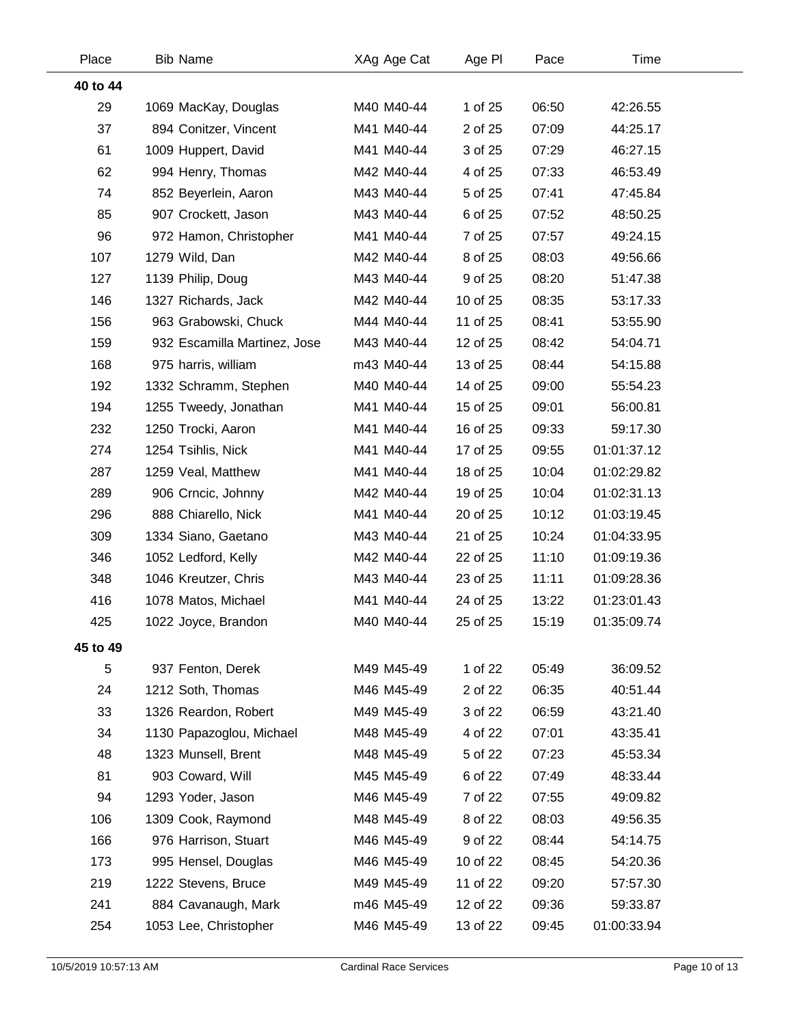| Place    | <b>Bib Name</b>              | XAg Age Cat | Age PI   | Pace  | Time        |  |
|----------|------------------------------|-------------|----------|-------|-------------|--|
| 40 to 44 |                              |             |          |       |             |  |
| 29       | 1069 MacKay, Douglas         | M40 M40-44  | 1 of 25  | 06:50 | 42:26.55    |  |
| 37       | 894 Conitzer, Vincent        | M41 M40-44  | 2 of 25  | 07:09 | 44:25.17    |  |
| 61       | 1009 Huppert, David          | M41 M40-44  | 3 of 25  | 07:29 | 46:27.15    |  |
| 62       | 994 Henry, Thomas            | M42 M40-44  | 4 of 25  | 07:33 | 46:53.49    |  |
| 74       | 852 Beyerlein, Aaron         | M43 M40-44  | 5 of 25  | 07:41 | 47:45.84    |  |
| 85       | 907 Crockett, Jason          | M43 M40-44  | 6 of 25  | 07:52 | 48:50.25    |  |
| 96       | 972 Hamon, Christopher       | M41 M40-44  | 7 of 25  | 07:57 | 49:24.15    |  |
| 107      | 1279 Wild, Dan               | M42 M40-44  | 8 of 25  | 08:03 | 49:56.66    |  |
| 127      | 1139 Philip, Doug            | M43 M40-44  | 9 of 25  | 08:20 | 51:47.38    |  |
| 146      | 1327 Richards, Jack          | M42 M40-44  | 10 of 25 | 08:35 | 53:17.33    |  |
| 156      | 963 Grabowski, Chuck         | M44 M40-44  | 11 of 25 | 08:41 | 53:55.90    |  |
| 159      | 932 Escamilla Martinez, Jose | M43 M40-44  | 12 of 25 | 08:42 | 54:04.71    |  |
| 168      | 975 harris, william          | m43 M40-44  | 13 of 25 | 08:44 | 54:15.88    |  |
| 192      | 1332 Schramm, Stephen        | M40 M40-44  | 14 of 25 | 09:00 | 55:54.23    |  |
| 194      | 1255 Tweedy, Jonathan        | M41 M40-44  | 15 of 25 | 09:01 | 56:00.81    |  |
| 232      | 1250 Trocki, Aaron           | M41 M40-44  | 16 of 25 | 09:33 | 59:17.30    |  |
| 274      | 1254 Tsihlis, Nick           | M41 M40-44  | 17 of 25 | 09:55 | 01:01:37.12 |  |
| 287      | 1259 Veal, Matthew           | M41 M40-44  | 18 of 25 | 10:04 | 01:02:29.82 |  |
| 289      | 906 Crncic, Johnny           | M42 M40-44  | 19 of 25 | 10:04 | 01:02:31.13 |  |
| 296      | 888 Chiarello, Nick          | M41 M40-44  | 20 of 25 | 10:12 | 01:03:19.45 |  |
| 309      | 1334 Siano, Gaetano          | M43 M40-44  | 21 of 25 | 10:24 | 01:04:33.95 |  |
| 346      | 1052 Ledford, Kelly          | M42 M40-44  | 22 of 25 | 11:10 | 01:09:19.36 |  |
| 348      | 1046 Kreutzer, Chris         | M43 M40-44  | 23 of 25 | 11:11 | 01:09:28.36 |  |
| 416      | 1078 Matos, Michael          | M41 M40-44  | 24 of 25 | 13:22 | 01:23:01.43 |  |
| 425      | 1022 Joyce, Brandon          | M40 M40-44  | 25 of 25 | 15:19 | 01:35:09.74 |  |
| 45 to 49 |                              |             |          |       |             |  |
| 5        | 937 Fenton, Derek            | M49 M45-49  | 1 of 22  | 05:49 | 36:09.52    |  |
| 24       | 1212 Soth, Thomas            | M46 M45-49  | 2 of 22  | 06:35 | 40:51.44    |  |
| 33       | 1326 Reardon, Robert         | M49 M45-49  | 3 of 22  | 06:59 | 43:21.40    |  |
| 34       | 1130 Papazoglou, Michael     | M48 M45-49  | 4 of 22  | 07:01 | 43:35.41    |  |
| 48       | 1323 Munsell, Brent          | M48 M45-49  | 5 of 22  | 07:23 | 45:53.34    |  |
| 81       | 903 Coward, Will             | M45 M45-49  | 6 of 22  | 07:49 | 48:33.44    |  |
| 94       | 1293 Yoder, Jason            | M46 M45-49  | 7 of 22  | 07:55 | 49:09.82    |  |
| 106      | 1309 Cook, Raymond           | M48 M45-49  | 8 of 22  | 08:03 | 49:56.35    |  |
| 166      | 976 Harrison, Stuart         | M46 M45-49  | 9 of 22  | 08:44 | 54:14.75    |  |
| 173      | 995 Hensel, Douglas          | M46 M45-49  | 10 of 22 | 08:45 | 54:20.36    |  |
| 219      | 1222 Stevens, Bruce          | M49 M45-49  | 11 of 22 | 09:20 | 57:57.30    |  |
| 241      | 884 Cavanaugh, Mark          | m46 M45-49  | 12 of 22 | 09:36 | 59:33.87    |  |
| 254      | 1053 Lee, Christopher        | M46 M45-49  | 13 of 22 | 09:45 | 01:00:33.94 |  |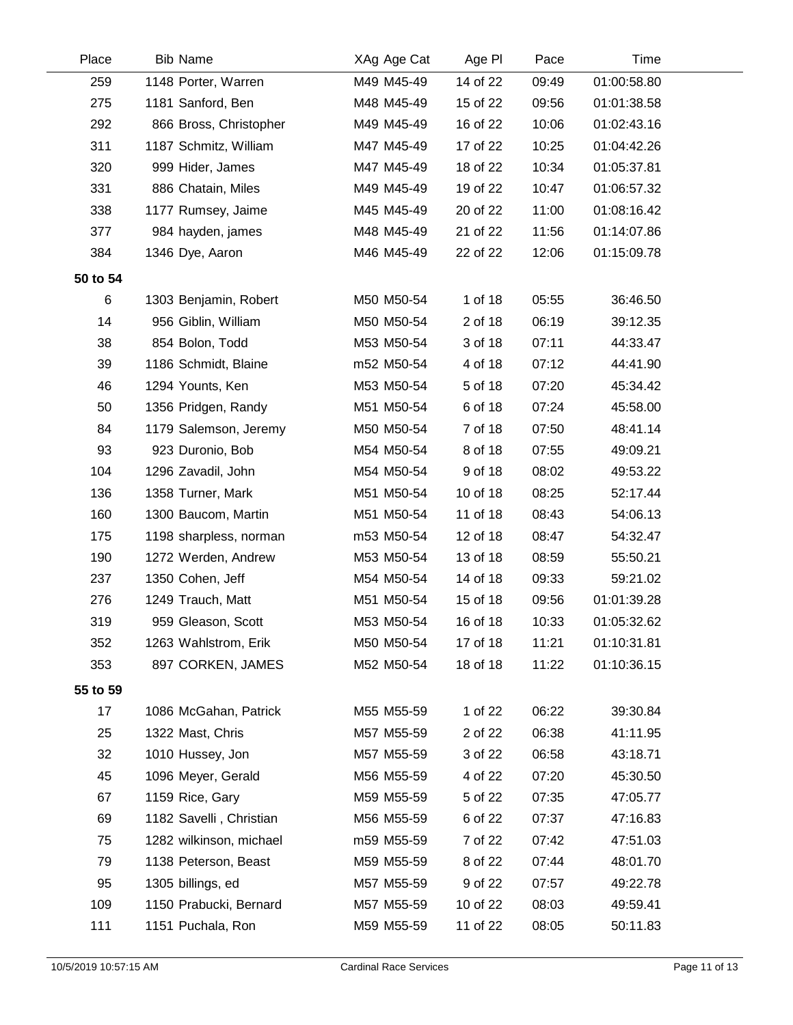| Place    | <b>Bib Name</b>         | XAg Age Cat | Age PI   | Pace  | Time        |  |
|----------|-------------------------|-------------|----------|-------|-------------|--|
| 259      | 1148 Porter, Warren     | M49 M45-49  | 14 of 22 | 09:49 | 01:00:58.80 |  |
| 275      | 1181 Sanford, Ben       | M48 M45-49  | 15 of 22 | 09:56 | 01:01:38.58 |  |
| 292      | 866 Bross, Christopher  | M49 M45-49  | 16 of 22 | 10:06 | 01:02:43.16 |  |
| 311      | 1187 Schmitz, William   | M47 M45-49  | 17 of 22 | 10:25 | 01:04:42.26 |  |
| 320      | 999 Hider, James        | M47 M45-49  | 18 of 22 | 10:34 | 01:05:37.81 |  |
| 331      | 886 Chatain, Miles      | M49 M45-49  | 19 of 22 | 10:47 | 01:06:57.32 |  |
| 338      | 1177 Rumsey, Jaime      | M45 M45-49  | 20 of 22 | 11:00 | 01:08:16.42 |  |
| 377      | 984 hayden, james       | M48 M45-49  | 21 of 22 | 11:56 | 01:14:07.86 |  |
| 384      | 1346 Dye, Aaron         | M46 M45-49  | 22 of 22 | 12:06 | 01:15:09.78 |  |
| 50 to 54 |                         |             |          |       |             |  |
| 6        | 1303 Benjamin, Robert   | M50 M50-54  | 1 of 18  | 05:55 | 36:46.50    |  |
| 14       | 956 Giblin, William     | M50 M50-54  | 2 of 18  | 06:19 | 39:12.35    |  |
| 38       | 854 Bolon, Todd         | M53 M50-54  | 3 of 18  | 07:11 | 44:33.47    |  |
| 39       | 1186 Schmidt, Blaine    | m52 M50-54  | 4 of 18  | 07:12 | 44:41.90    |  |
| 46       | 1294 Younts, Ken        | M53 M50-54  | 5 of 18  | 07:20 | 45:34.42    |  |
| 50       | 1356 Pridgen, Randy     | M51 M50-54  | 6 of 18  | 07:24 | 45:58.00    |  |
| 84       | 1179 Salemson, Jeremy   | M50 M50-54  | 7 of 18  | 07:50 | 48:41.14    |  |
| 93       | 923 Duronio, Bob        | M54 M50-54  | 8 of 18  | 07:55 | 49:09.21    |  |
| 104      | 1296 Zavadil, John      | M54 M50-54  | 9 of 18  | 08:02 | 49:53.22    |  |
| 136      | 1358 Turner, Mark       | M51 M50-54  | 10 of 18 | 08:25 | 52:17.44    |  |
| 160      | 1300 Baucom, Martin     | M51 M50-54  | 11 of 18 | 08:43 | 54:06.13    |  |
| 175      | 1198 sharpless, norman  | m53 M50-54  | 12 of 18 | 08:47 | 54:32.47    |  |
| 190      | 1272 Werden, Andrew     | M53 M50-54  | 13 of 18 | 08:59 | 55:50.21    |  |
| 237      | 1350 Cohen, Jeff        | M54 M50-54  | 14 of 18 | 09:33 | 59:21.02    |  |
| 276      | 1249 Trauch, Matt       | M51 M50-54  | 15 of 18 | 09:56 | 01:01:39.28 |  |
| 319      | 959 Gleason, Scott      | M53 M50-54  | 16 of 18 | 10:33 | 01:05:32.62 |  |
| 352      | 1263 Wahlstrom, Erik    | M50 M50-54  | 17 of 18 | 11:21 | 01:10:31.81 |  |
| 353      | 897 CORKEN, JAMES       | M52 M50-54  | 18 of 18 | 11:22 | 01:10:36.15 |  |
| 55 to 59 |                         |             |          |       |             |  |
| 17       | 1086 McGahan, Patrick   | M55 M55-59  | 1 of 22  | 06:22 | 39:30.84    |  |
| 25       | 1322 Mast, Chris        | M57 M55-59  | 2 of 22  | 06:38 | 41:11.95    |  |
| 32       | 1010 Hussey, Jon        | M57 M55-59  | 3 of 22  | 06:58 | 43:18.71    |  |
| 45       | 1096 Meyer, Gerald      | M56 M55-59  | 4 of 22  | 07:20 | 45:30.50    |  |
| 67       | 1159 Rice, Gary         | M59 M55-59  | 5 of 22  | 07:35 | 47:05.77    |  |
| 69       | 1182 Savelli, Christian | M56 M55-59  | 6 of 22  | 07:37 | 47:16.83    |  |
| 75       | 1282 wilkinson, michael | m59 M55-59  | 7 of 22  | 07:42 | 47:51.03    |  |
| 79       | 1138 Peterson, Beast    | M59 M55-59  | 8 of 22  | 07:44 | 48:01.70    |  |
| 95       | 1305 billings, ed       | M57 M55-59  | 9 of 22  | 07:57 | 49:22.78    |  |
| 109      | 1150 Prabucki, Bernard  | M57 M55-59  | 10 of 22 | 08:03 | 49:59.41    |  |
| 111      | 1151 Puchala, Ron       | M59 M55-59  | 11 of 22 | 08:05 | 50:11.83    |  |
|          |                         |             |          |       |             |  |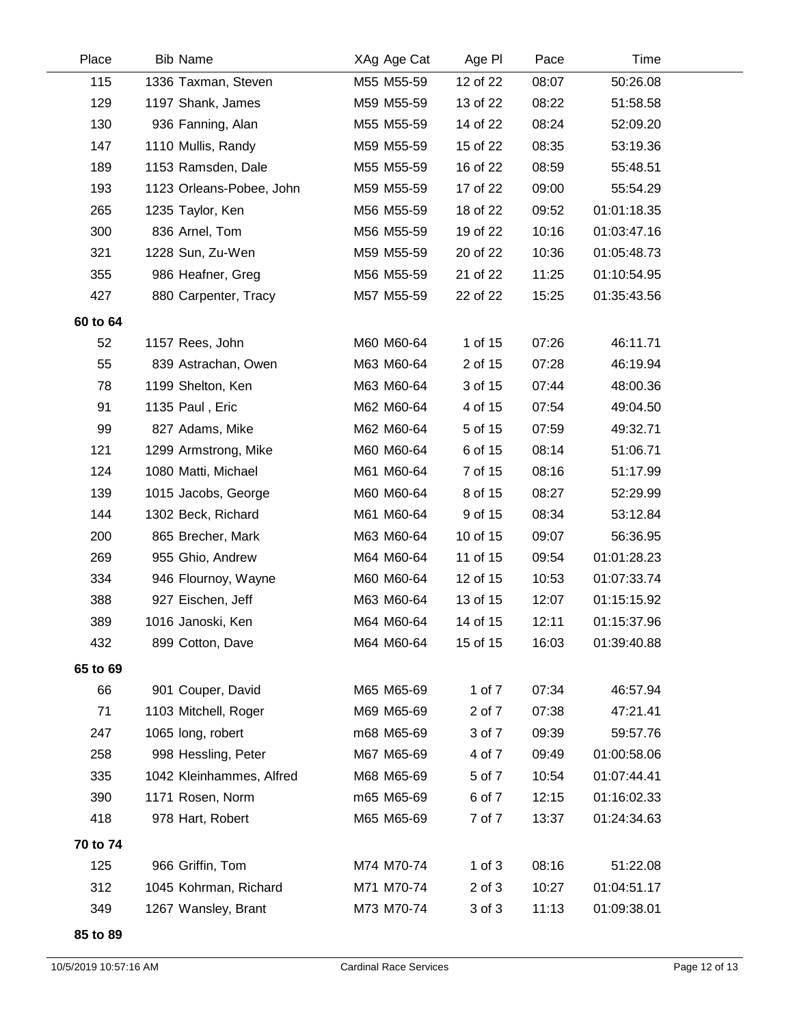| Place    | <b>Bib Name</b>          | XAg Age Cat | Age PI     | Pace  | Time        |  |
|----------|--------------------------|-------------|------------|-------|-------------|--|
| 115      | 1336 Taxman, Steven      | M55 M55-59  | 12 of 22   | 08:07 | 50:26.08    |  |
| 129      | 1197 Shank, James        | M59 M55-59  | 13 of 22   | 08:22 | 51:58.58    |  |
| 130      | 936 Fanning, Alan        | M55 M55-59  | 14 of 22   | 08:24 | 52:09.20    |  |
| 147      | 1110 Mullis, Randy       | M59 M55-59  | 15 of 22   | 08:35 | 53:19.36    |  |
| 189      | 1153 Ramsden, Dale       | M55 M55-59  | 16 of 22   | 08:59 | 55:48.51    |  |
| 193      | 1123 Orleans-Pobee, John | M59 M55-59  | 17 of 22   | 09:00 | 55:54.29    |  |
| 265      | 1235 Taylor, Ken         | M56 M55-59  | 18 of 22   | 09:52 | 01:01:18.35 |  |
| 300      | 836 Arnel, Tom           | M56 M55-59  | 19 of 22   | 10:16 | 01:03:47.16 |  |
| 321      | 1228 Sun, Zu-Wen         | M59 M55-59  | 20 of 22   | 10:36 | 01:05:48.73 |  |
| 355      | 986 Heafner, Greg        | M56 M55-59  | 21 of 22   | 11:25 | 01:10:54.95 |  |
| 427      | 880 Carpenter, Tracy     | M57 M55-59  | 22 of 22   | 15:25 | 01:35:43.56 |  |
| 60 to 64 |                          |             |            |       |             |  |
| 52       | 1157 Rees, John          | M60 M60-64  | 1 of 15    | 07:26 | 46:11.71    |  |
| 55       | 839 Astrachan, Owen      | M63 M60-64  | 2 of 15    | 07:28 | 46:19.94    |  |
| 78       | 1199 Shelton, Ken        | M63 M60-64  | 3 of 15    | 07:44 | 48:00.36    |  |
| 91       | 1135 Paul, Eric          | M62 M60-64  | 4 of 15    | 07:54 | 49:04.50    |  |
| 99       | 827 Adams, Mike          | M62 M60-64  | 5 of 15    | 07:59 | 49:32.71    |  |
| 121      | 1299 Armstrong, Mike     | M60 M60-64  | 6 of 15    | 08:14 | 51:06.71    |  |
| 124      | 1080 Matti, Michael      | M61 M60-64  | 7 of 15    | 08:16 | 51:17.99    |  |
| 139      | 1015 Jacobs, George      | M60 M60-64  | 8 of 15    | 08:27 | 52:29.99    |  |
| 144      | 1302 Beck, Richard       | M61 M60-64  | 9 of 15    | 08:34 | 53:12.84    |  |
| 200      | 865 Brecher, Mark        | M63 M60-64  | 10 of 15   | 09:07 | 56:36.95    |  |
| 269      | 955 Ghio, Andrew         | M64 M60-64  | 11 of 15   | 09:54 | 01:01:28.23 |  |
| 334      | 946 Flournoy, Wayne      | M60 M60-64  | 12 of 15   | 10:53 | 01:07:33.74 |  |
| 388      | 927 Eischen, Jeff        | M63 M60-64  | 13 of 15   | 12:07 | 01:15:15.92 |  |
| 389      | 1016 Janoski, Ken        | M64 M60-64  | 14 of 15   | 12:11 | 01:15:37.96 |  |
| 432      | 899 Cotton, Dave         | M64 M60-64  | 15 of 15   | 16:03 | 01:39:40.88 |  |
| 65 to 69 |                          |             |            |       |             |  |
| 66       | 901 Couper, David        | M65 M65-69  | 1 of 7     | 07:34 | 46:57.94    |  |
| 71       | 1103 Mitchell, Roger     | M69 M65-69  | 2 of 7     | 07:38 | 47:21.41    |  |
| 247      | 1065 long, robert        | m68 M65-69  | 3 of 7     | 09:39 | 59:57.76    |  |
| 258      | 998 Hessling, Peter      | M67 M65-69  | 4 of 7     | 09:49 | 01:00:58.06 |  |
| 335      | 1042 Kleinhammes, Alfred | M68 M65-69  | 5 of 7     | 10:54 | 01:07:44.41 |  |
| 390      | 1171 Rosen, Norm         | m65 M65-69  | 6 of 7     | 12:15 | 01:16:02.33 |  |
| 418      | 978 Hart, Robert         | M65 M65-69  | 7 of 7     | 13:37 | 01:24:34.63 |  |
| 70 to 74 |                          |             |            |       |             |  |
| 125      | 966 Griffin, Tom         | M74 M70-74  | $1$ of $3$ | 08:16 | 51:22.08    |  |
| 312      | 1045 Kohrman, Richard    | M71 M70-74  | 2 of 3     | 10:27 | 01:04:51.17 |  |
| 349      | 1267 Wansley, Brant      | M73 M70-74  | 3 of 3     | 11:13 | 01:09:38.01 |  |
| 85 to 89 |                          |             |            |       |             |  |